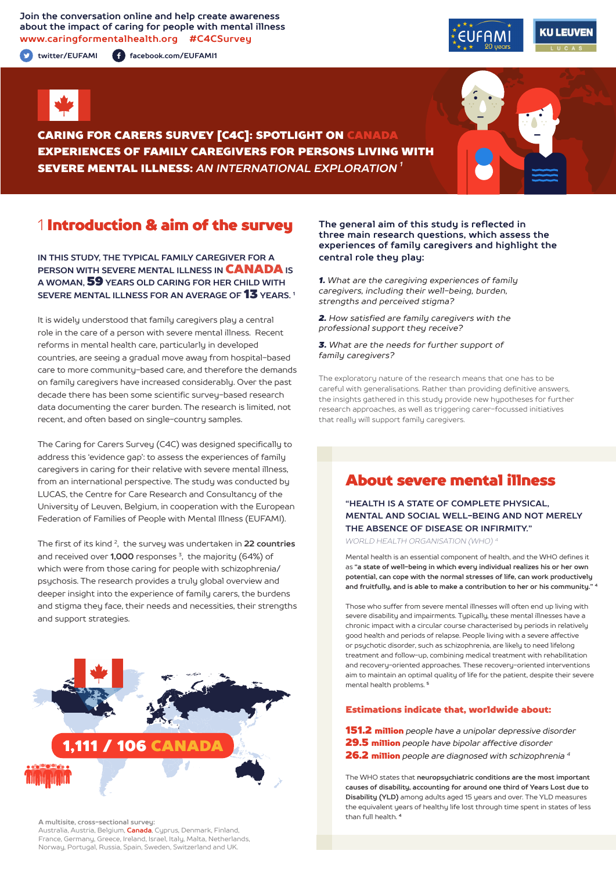**Join the conversation online and help create awareness about the impact of caring for people with mental illness www.caringformentalhealth.org #C4CSurvey**

**twitter/EUFAMI facebook.com/EUFAMI1**





CARING FOR CARERS SURVEY [C4C]: SPOTLIGHT ON CANADA EXPERIENCES OF FAMILY CAREGIVERS FOR PERSONS LIVING WITH SEVERE MENTAL ILLNESS: *AN INTERNATIONAL EXPLORATION 1*

## 1 Introduction & aim of the survey

**IN THIS STUDY, THE TYPICAL FAMILY CAREGIVER FOR A PERSON WITH SEVERE MENTAL ILLNESS IN** CANADA **IS A WOMAN,** 59 **YEARS OLD CARING FOR HER CHILD WITH SEVERE MENTAL ILLNESS FOR AN AVERAGE OF** 13 **YEARS. 1**

It is widely understood that family caregivers play a central role in the care of a person with severe mental illness. Recent reforms in mental health care, particularly in developed countries, are seeing a gradual move away from hospital-based care to more community-based care, and therefore the demands on family caregivers have increased considerably. Over the past decade there has been some scientific survey-based research data documenting the carer burden. The research is limited, not recent, and often based on single-country samples.

The Caring for Carers Survey (C4C) was designed specifically to address this 'evidence gap': to assess the experiences of family caregivers in caring for their relative with severe mental illness, from an international perspective. The study was conducted by LUCAS, the Centre for Care Research and Consultancy of the University of Leuven, Belgium, in cooperation with the European Federation of Families of People with Mental Illness (EUFAMI).

The first of its kind 2, the survey was undertaken in **22 countries** and received over **1,000** responses 3, the majority (64%) of which were from those caring for people with schizophrenia/ psychosis. The research provides a truly global overview and deeper insight into the experience of family carers, the burdens and stigma they face, their needs and necessities, their strengths and support strategies.



#### **A multisite, cross-sectional survey:**

Australia, Austria, Belgium, **Canada**, Cyprus, Denmark, Finland, France, Germany, Greece, Ireland, Israel, Italy, Malta, Netherlands, Norway, Portugal, Russia, Spain, Sweden, Switzerland and UK.

#### **The general aim of this study is reflected in three main research questions, which assess the experiences of family caregivers and highlight the central role they play:**

*1. What are the caregiving experiences of family caregivers, including their well-being, burden, strengths and perceived stigma?*

*2. How satisfied are family caregivers with the professional support they receive?*

*3. What are the needs for further support of family caregivers?*

The exploratory nature of the research means that one has to be careful with generalisations. Rather than providing definitive answers, the insights gathered in this study provide new hypotheses for further research approaches, as well as triggering carer-focussed initiatives that really will support family caregivers.

# About severe mental illness

**"HEALTH IS A STATE OF COMPLETE PHYSICAL, MENTAL AND SOCIAL WELL-BEING AND NOT MERELY THE ABSENCE OF DISEASE OR INFIRMITY."**

*WORLD HEALTH ORGANISATION (WHO) 4*

Mental health is an essential component of health, and the WHO defines it as **"a state of well-being in which every individual realizes his or her own potential, can cope with the normal stresses of life, can work productively and fruitfully, and is able to make a contribution to her or his community." <sup>4</sup>**

Those who suffer from severe mental illnesses will often end up living with severe disability and impairments. Typically, these mental illnesses have a chronic impact with a circular course characterised by periods in relatively good health and periods of relapse. People living with a severe affective or psychotic disorder, such as schizophrenia, are likely to need lifelong treatment and follow-up, combining medical treatment with rehabilitation and recovery-oriented approaches. These recovery-oriented interventions aim to maintain an optimal quality of life for the patient, despite their severe mental health problems. **<sup>5</sup>**

#### Estimations indicate that, worldwide about:

151.2 million *people have a unipolar depressive disorder*  29.5 million *people have bipolar affective disorder* 26.2 million *people are diagnosed with schizophrenia 4*

The WHO states that **neuropsychiatric conditions are the most important causes of disability, accounting for around one third of Years Lost due to Disability (YLD)** among adults aged 15 years and over. The YLD measures the equivalent years of healthy life lost through time spent in states of less than full health. **<sup>4</sup>**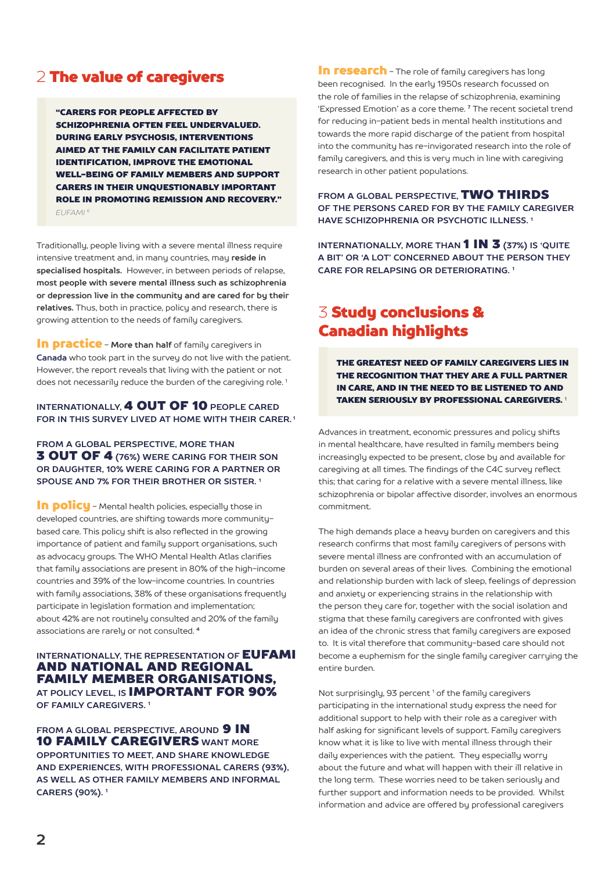## 2 The value of caregivers

"CARERS FOR PEOPLE AFFECTED BY SCHIZOPHRENIA OFTEN FEEL UNDERVALUED. DURING EARLY PSYCHOSIS, INTERVENTIONS AIMED AT THE FAMILY CAN FACILITATE PATIENT IDENTIFICATION, IMPROVE THE EMOTIONAL WELL-BEING OF FAMILY MEMBERS AND SUPPORT CARERS IN THEIR UNQUESTIONABLY IMPORTANT ROLE IN PROMOTING REMISSION AND RECOVERY." *EUFAMI 6*

Traditionally, people living with a severe mental illness require intensive treatment and, in many countries, may **reside in specialised hospitals.** However, in between periods of relapse, **most people with severe mental illness such as schizophrenia or depression live in the community and are cared for by their relatives.** Thus, both in practice, policy and research, there is growing attention to the needs of family caregivers.

**In practice** - More than half of family caregivers in **Canada** who took part in the survey do not live with the patient. However, the report reveals that living with the patient or not does not necessarily reduce the burden of the caregiving role.<sup>1</sup>

#### **INTERNATIONALLY,** 4 OUT OF 10 **PEOPLE CARED FOR IN THIS SURVEY LIVED AT HOME WITH THEIR CARER. 1**

**FROM A GLOBAL PERSPECTIVE, MORE THAN** 3 OUT OF 4 **(76%) WERE CARING FOR THEIR SON OR DAUGHTER, 10% WERE CARING FOR A PARTNER OR SPOUSE AND 7% FOR THEIR BROTHER OR SISTER. 1**

In policu - Mental health policies, especially those in developed countries, are shifting towards more communitybased care. This policy shift is also reflected in the growing importance of patient and family support organisations, such as advocacy groups. The WHO Mental Health Atlas clarifies that family associations are present in 80% of the high-income countries and 39% of the low-income countries. In countries with family associations, 38% of these organisations frequently participate in legislation formation and implementation; about 42% are not routinely consulted and 20% of the family associations are rarely or not consulted. **<sup>4</sup>**

#### **INTERNATIONALLY, THE REPRESENTATION OF EUFAMI** AND NATIONAL AND REGIONAL FAMILY MEMBER ORGANISATIONS, **AT POLICY LEVEL, IS** IMPORTANT FOR 90% **OF FAMILY CAREGIVERS. 1**

**FROM A GLOBAL PERSPECTIVE. AROUND 9 IN** 10 FAMILY CAREGIVERS **WANT MORE OPPORTUNITIES TO MEET, AND SHARE KNOWLEDGE AND EXPERIENCES, WITH PROFESSIONAL CARERS (93%), AS WELL AS OTHER FAMILY MEMBERS AND INFORMAL CARERS (90%). 1**

In research - The role of family caregivers has long been recognised. In the early 1950s research focussed on the role of families in the relapse of schizophrenia, examining 'Expressed Emotion' as a core theme. **7** The recent societal trend for reducing in-patient beds in mental health institutions and towards the more rapid discharge of the patient from hospital into the community has re-invigorated research into the role of family caregivers, and this is very much in line with caregiving research in other patient populations.

**FROM A GLOBAL PERSPECTIVE,** TWO THIRDS **OF THE PERSONS CARED FOR BY THE FAMILY CAREGIVER HAVE SCHIZOPHRENIA OR PSYCHOTIC ILLNESS. 1**

**INTERNATIONALLY, MORE THAN 1 IN 3 (37%) IS 'QUITE A BIT' OR 'A LOT' CONCERNED ABOUT THE PERSON THEY CARE FOR RELAPSING OR DETERIORATING. 1**

# 3 Study conclusions & Canadian highlights

THE GREATEST NEED OF FAMILY CAREGIVERS LIES IN THE RECOGNITION THAT THEY ARE A FULL PARTNER IN CARE, AND IN THE NEED TO BE LISTENED TO AND TAKEN SERIOUSLY BY PROFESSIONAL CAREGIVERS. <sup>1</sup>

Advances in treatment, economic pressures and policy shifts in mental healthcare, have resulted in family members being increasingly expected to be present, close by and available for caregiving at all times. The findings of the C4C survey reflect this; that caring for a relative with a severe mental illness, like schizophrenia or bipolar affective disorder, involves an enormous commitment.

The high demands place a heavy burden on caregivers and this research confirms that most family caregivers of persons with severe mental illness are confronted with an accumulation of burden on several areas of their lives. Combining the emotional and relationship burden with lack of sleep, feelings of depression and anxiety or experiencing strains in the relationship with the person they care for, together with the social isolation and stigma that these family caregivers are confronted with gives an idea of the chronic stress that family caregivers are exposed to. It is vital therefore that community-based care should not become a euphemism for the single family caregiver carrying the entire burden.

Not surprisingly, 93 percent<sup>1</sup> of the family caregivers participating in the international study express the need for additional support to help with their role as a caregiver with half asking for significant levels of support. Family caregivers know what it is like to live with mental illness through their daily experiences with the patient. They especially worry about the future and what will happen with their ill relative in the long term. These worries need to be taken seriously and further support and information needs to be provided. Whilst information and advice are offered by professional caregivers